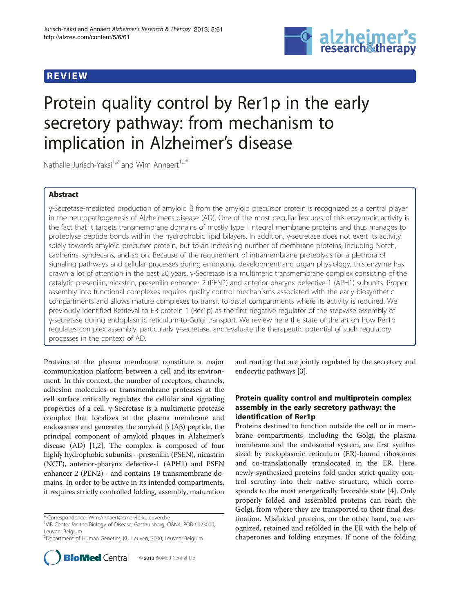# REVIEW



# Protein quality control by Rer1p in the early secretory pathway: from mechanism to implication in Alzheimer's disease

Nathalie Jurisch-Yaksi<sup>1,2</sup> and Wim Annaert<sup>1,2\*</sup>

# Abstract

γ-Secretase-mediated production of amyloid β from the amyloid precursor protein is recognized as a central player in the neuropathogenesis of Alzheimer's disease (AD). One of the most peculiar features of this enzymatic activity is the fact that it targets transmembrane domains of mostly type I integral membrane proteins and thus manages to proteolyse peptide bonds within the hydrophobic lipid bilayers. In addition, γ-secretase does not exert its activity solely towards amyloid precursor protein, but to an increasing number of membrane proteins, including Notch, cadherins, syndecans, and so on. Because of the requirement of intramembrane proteolysis for a plethora of signaling pathways and cellular processes during embryonic development and organ physiology, this enzyme has drawn a lot of attention in the past 20 years. γ-Secretase is a multimeric transmembrane complex consisting of the catalytic presenilin, nicastrin, presenilin enhancer 2 (PEN2) and anterior-pharynx defective-1 (APH1) subunits. Proper assembly into functional complexes requires quality control mechanisms associated with the early biosynthetic compartments and allows mature complexes to transit to distal compartments where its activity is required. We previously identified Retrieval to ER protein 1 (Rer1p) as the first negative regulator of the stepwise assembly of γ-secretase during endoplasmic reticulum-to-Golgi transport. We review here the state of the art on how Rer1p regulates complex assembly, particularly γ-secretase, and evaluate the therapeutic potential of such regulatory processes in the context of AD.

Proteins at the plasma membrane constitute a major communication platform between a cell and its environment. In this context, the number of receptors, channels, adhesion molecules or transmembrane proteases at the cell surface critically regulates the cellular and signaling properties of a cell. γ-Secretase is a multimeric protease complex that localizes at the plasma membrane and endosomes and generates the amyloid β (Aβ) peptide, the principal component of amyloid plaques in Alzheimer's disease (AD) [\[1,2\]](#page-5-0). The complex is composed of four highly hydrophobic subunits - presenilin (PSEN), nicastrin (NCT), anterior-pharynx defective-1 (APH1) and PSEN enhancer 2 (PEN2) - and contains 19 transmembrane domains. In order to be active in its intended compartments, it requires strictly controlled folding, assembly, maturation

<sup>2</sup> Department of Human Genetics, KU Leuven, 3000, Leuven, Belgium



and routing that are jointly regulated by the secretory and endocytic pathways [\[3](#page-5-0)].

## Protein quality control and multiprotein complex assembly in the early secretory pathway: the identification of Rer1p

Proteins destined to function outside the cell or in membrane compartments, including the Golgi, the plasma membrane and the endosomal system, are first synthesized by endoplasmic reticulum (ER)-bound ribosomes and co-translationally translocated in the ER. Here, newly synthesized proteins fold under strict quality control scrutiny into their native structure, which corresponds to the most energetically favorable state [\[4](#page-5-0)]. Only properly folded and assembled proteins can reach the Golgi, from where they are transported to their final destination. Misfolded proteins, on the other hand, are recognized, retained and refolded in the ER with the help of chaperones and folding enzymes. If none of the folding

<sup>\*</sup> Correspondence: [Wim.Annaert@cme.vib-kuleuven.be](mailto:Wim.Annaert@cme.vib-kuleuven.be) <sup>1</sup>

<sup>&</sup>lt;sup>1</sup>VIB Center for the Biology of Disease, Gasthuisberg, O&N4, POB 6023000, Leuven, Belgium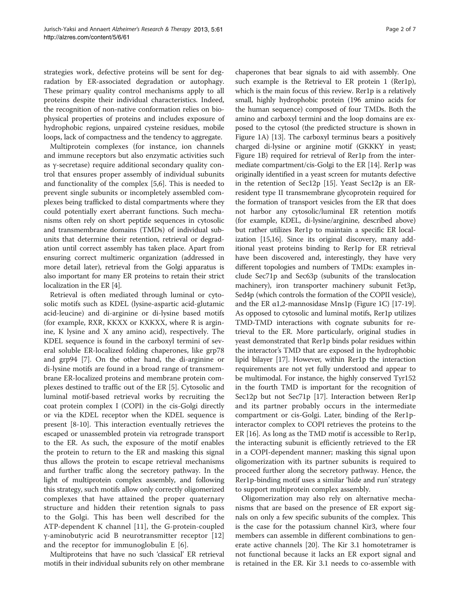strategies work, defective proteins will be sent for degradation by ER-associated degradation or autophagy. These primary quality control mechanisms apply to all proteins despite their individual characteristics. Indeed, the recognition of non-native conformation relies on biophysical properties of proteins and includes exposure of hydrophobic regions, unpaired cysteine residues, mobile loops, lack of compactness and the tendency to aggregate.

Multiprotein complexes (for instance, ion channels and immune receptors but also enzymatic activities such as γ-secretase) require additional secondary quality control that ensures proper assembly of individual subunits and functionality of the complex [\[5,6](#page-5-0)]. This is needed to prevent single subunits or incompletely assembled complexes being trafficked to distal compartments where they could potentially exert aberrant functions. Such mechanisms often rely on short peptide sequences in cytosolic and transmembrane domains (TMDs) of individual subunits that determine their retention, retrieval or degradation until correct assembly has taken place. Apart from ensuring correct multimeric organization (addressed in more detail later), retrieval from the Golgi apparatus is also important for many ER proteins to retain their strict localization in the ER [[4\]](#page-5-0).

Retrieval is often mediated through luminal or cytosolic motifs such as KDEL (lysine-aspartic acid-glutamic acid-leucine) and di-arginine or di-lysine based motifs (for example, RXR, KKXX or KXKXX, where R is arginine, K lysine and X any amino acid), respectively. The KDEL sequence is found in the carboxyl termini of several soluble ER-localized folding chaperones, like grp78 and grp94 [\[7](#page-5-0)]. On the other hand, the di-arginine or di-lysine motifs are found in a broad range of transmembrane ER-localized proteins and membrane protein complexes destined to traffic out of the ER [\[5](#page-5-0)]. Cytosolic and luminal motif-based retrieval works by recruiting the coat protein complex I (COPI) in the cis-Golgi directly or via the KDEL receptor when the KDEL sequence is present [\[8](#page-5-0)-[10\]](#page-5-0). This interaction eventually retrieves the escaped or unassembled protein via retrograde transport to the ER. As such, the exposure of the motif enables the protein to return to the ER and masking this signal thus allows the protein to escape retrieval mechanisms and further traffic along the secretory pathway. In the light of multiprotein complex assembly, and following this strategy, such motifs allow only correctly oligomerized complexes that have attained the proper quaternary structure and hidden their retention signals to pass to the Golgi. This has been well described for the ATP-dependent K channel [[11\]](#page-5-0), the G-protein-coupled γ-aminobutyric acid B neurotransmitter receptor [\[12](#page-5-0)] and the receptor for immunoglobulin E [[6\]](#page-5-0).

Multiproteins that have no such 'classical' ER retrieval motifs in their individual subunits rely on other membrane

chaperones that bear signals to aid with assembly. One such example is the Retrieval to ER protein 1 (Rer1p), which is the main focus of this review. Rer1p is a relatively small, highly hydrophobic protein (196 amino acids for the human sequence) composed of four TMDs. Both the amino and carboxyl termini and the loop domains are exposed to the cytosol (the predicted structure is shown in Figure [1](#page-2-0)A) [[13](#page-5-0)]. The carboxyl terminus bears a positively charged di-lysine or arginine motif (GKKKY in yeast; Figure [1](#page-2-0)B) required for retrieval of Rer1p from the intermediate compartment/cis-Golgi to the ER [\[14\]](#page-5-0). Rer1p was originally identified in a yeast screen for mutants defective in the retention of Sec12p [\[15\]](#page-5-0). Yeast Sec12p is an ERresident type II transmembrane glycoprotein required for the formation of transport vesicles from the ER that does not harbor any cytosolic/luminal ER retention motifs (for example, KDEL, di-lysine/arginine, described above) but rather utilizes Rer1p to maintain a specific ER localization [\[15,16](#page-5-0)]. Since its original discovery, many additional yeast proteins binding to Rer1p for ER retrieval have been discovered and, interestingly, they have very different topologies and numbers of TMDs: examples include Sec71p and Sec63p (subunits of the translocation machinery), iron transporter machinery subunit Fet3p, Sed4p (which controls the formation of the COPII vesicle), and the ER  $\alpha$ 1,2-mannosidase Mns1p (Figure [1C](#page-2-0)) [[17](#page-5-0)-[19](#page-6-0)]. As opposed to cytosolic and luminal motifs, Rer1p utilizes TMD-TMD interactions with cognate subunits for retrieval to the ER. More particularly, original studies in yeast demonstrated that Rer1p binds polar residues within the interactor's TMD that are exposed in the hydrophobic lipid bilayer [\[17\]](#page-5-0). However, within Rer1p the interaction requirements are not yet fully understood and appear to be multimodal. For instance, the highly conserved Tyr152 in the fourth TMD is important for the recognition of Sec12p but not Sec71p [\[17](#page-5-0)]. Interaction between Rer1p and its partner probably occurs in the intermediate compartment or cis-Golgi. Later, binding of the Rer1pinteractor complex to COPI retrieves the proteins to the

ER [\[16\]](#page-5-0). As long as the TMD motif is accessible to Rer1p, the interacting subunit is efficiently retrieved to the ER in a COPI-dependent manner; masking this signal upon oligomerization with its partner subunits is required to proceed further along the secretory pathway. Hence, the Rer1p-binding motif uses a similar 'hide and run' strategy to support multiprotein complex assembly.

Oligomerization may also rely on alternative mechanisms that are based on the presence of ER export signals on only a few specific subunits of the complex. This is the case for the potassium channel Kir3, where four members can assemble in different combinations to generate active channels [\[20](#page-6-0)]. The Kir 3.1 homotetramer is not functional because it lacks an ER export signal and is retained in the ER. Kir 3.1 needs to co-assemble with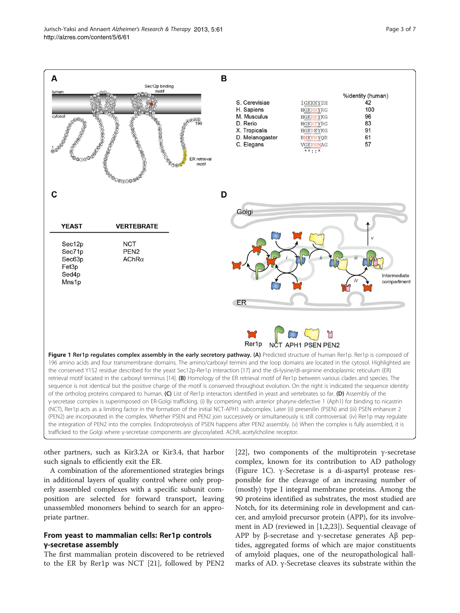<span id="page-2-0"></span>

other partners, such as Kir3.2A or Kir3.4, that harbor such signals to efficiently exit the ER.

A combination of the aforementioned strategies brings in additional layers of quality control where only properly assembled complexes with a specific subunit composition are selected for forward transport, leaving unassembled monomers behind to search for an appropriate partner.

## From yeast to mammalian cells: Rer1p controls γ-secretase assembly

The first mammalian protein discovered to be retrieved to the ER by Rer1p was NCT [\[21](#page-6-0)], followed by PEN2

[[22\]](#page-6-0), two components of the multiprotein  $γ$ -secretase complex, known for its contribution to AD pathology (Figure 1C). γ-Secretase is a di-aspartyl protease responsible for the cleavage of an increasing number of (mostly) type I integral membrane proteins. Among the 90 proteins identified as substrates, the most studied are Notch, for its determining role in development and cancer, and amyloid precursor protein (APP), for its involvement in AD (reviewed in [\[1,2](#page-5-0)[,23](#page-6-0)]). Sequential cleavage of APP by β-secretase and γ-secretase generates Aβ peptides, aggregated forms of which are major constituents of amyloid plaques, one of the neuropathological hallmarks of AD. γ-Secretase cleaves its substrate within the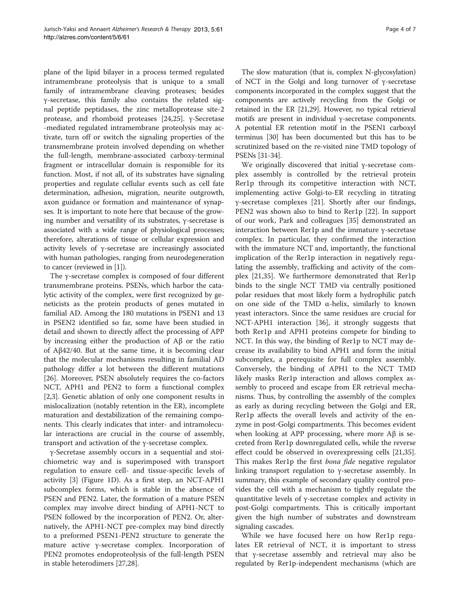plane of the lipid bilayer in a process termed regulated intramembrane proteolysis that is unique to a small family of intramembrane cleaving proteases; besides γ-secretase, this family also contains the related signal peptide peptidases, the zinc metalloprotease site-2 protease, and rhomboid proteases [\[24,25\]](#page-6-0). γ-Secretase -mediated regulated intramembrane proteolysis may activate, turn off or switch the signaling properties of the transmembrane protein involved depending on whether the full-length, membrane-associated carboxy-terminal fragment or intracellular domain is responsible for its function. Most, if not all, of its substrates have signaling properties and regulate cellular events such as cell fate determination, adhesion, migration, neurite outgrowth, axon guidance or formation and maintenance of synapses. It is important to note here that because of the growing number and versatility of its substrates, γ-secretase is associated with a wide range of physiological processes; therefore, alterations of tissue or cellular expression and activity levels of γ-secretase are increasingly associated with human pathologies, ranging from neurodegeneration to cancer (reviewed in [[1\]](#page-5-0)).

The γ-secretase complex is composed of four different transmembrane proteins. PSENs, which harbor the catalytic activity of the complex, were first recognized by geneticists as the protein products of genes mutated in familial AD. Among the 180 mutations in PSEN1 and 13 in PSEN2 identified so far, some have been studied in detail and shown to directly affect the processing of APP by increasing either the production of Aβ or the ratio of Aβ42/40. But at the same time, it is becoming clear that the molecular mechanisms resulting in familial AD pathology differ a lot between the different mutations [[26\]](#page-6-0). Moreover, PSEN absolutely requires the co-factors NCT, APH1 and PEN2 to form a functional complex [[2,3\]](#page-5-0). Genetic ablation of only one component results in mislocalization (notably retention in the ER), incomplete maturation and destabilization of the remaining components. This clearly indicates that inter- and intramolecular interactions are crucial in the course of assembly, transport and activation of the γ-secretase complex.

γ-Secretase assembly occurs in a sequential and stoichiometric way and is superimposed with transport regulation to ensure cell- and tissue-specific levels of activity [\[3](#page-5-0)] (Figure [1D](#page-2-0)). As a first step, an NCT-APH1 subcomplex forms, which is stable in the absence of PSEN and PEN2. Later, the formation of a mature PSEN complex may involve direct binding of APH1-NCT to PSEN followed by the incorporation of PEN2. Or, alternatively, the APH1-NCT pre-complex may bind directly to a preformed PSEN1-PEN2 structure to generate the mature active γ-secretase complex. Incorporation of PEN2 promotes endoproteolysis of the full-length PSEN in stable heterodimers [\[27,28\]](#page-6-0).

The slow maturation (that is, complex N-glycosylation) of NCT in the Golgi and long turnover of γ-secretase components incorporated in the complex suggest that the components are actively recycling from the Golgi or retained in the ER [\[21,29](#page-6-0)]. However, no typical retrieval motifs are present in individual γ-secretase components. A potential ER retention motif in the PSEN1 carboxyl terminus [\[30\]](#page-6-0) has been documented but this has to be scrutinized based on the re-visited nine TMD topology of PSENs [\[31-34\]](#page-6-0).

We originally discovered that initial γ-secretase complex assembly is controlled by the retrieval protein Rer1p through its competitive interaction with NCT, implementing active Golgi-to-ER recycling in titrating γ-secretase complexes [\[21\]](#page-6-0). Shortly after our findings, PEN2 was shown also to bind to Rer1p [\[22](#page-6-0)]. In support of our work, Park and colleagues [[35\]](#page-6-0) demonstrated an interaction between Rer1p and the immature γ-secretase complex. In particular, they confirmed the interaction with the immature NCT and, importantly, the functional implication of the Rer1p interaction in negatively regulating the assembly, trafficking and activity of the complex [\[21,35\]](#page-6-0). We furthermore demonstrated that Rer1p binds to the single NCT TMD via centrally positioned polar residues that most likely form a hydrophilic patch on one side of the TMD α-helix, similarly to known yeast interactors. Since the same residues are crucial for NCT-APH1 interaction [\[36](#page-6-0)], it strongly suggests that both Rer1p and APH1 proteins compete for binding to NCT. In this way, the binding of Rer1p to NCT may decrease its availability to bind APH1 and form the initial subcomplex, a prerequisite for full complex assembly. Conversely, the binding of APH1 to the NCT TMD likely masks Rer1p interaction and allows complex assembly to proceed and escape from ER retrieval mechanisms. Thus, by controlling the assembly of the complex as early as during recycling between the Golgi and ER, Rer1p affects the overall levels and activity of the enzyme in post-Golgi compartments. This becomes evident when looking at APP processing, where more Aβ is secreted from Rer1p downregulated cells, while the reverse effect could be observed in overexpressing cells [\[21,35](#page-6-0)]. This makes Rer1p the first *bona fide* negative regulator linking transport regulation to γ-secretase assembly. In summary, this example of secondary quality control provides the cell with a mechanism to tightly regulate the quantitative levels of γ-secretase complex and activity in post-Golgi compartments. This is critically important given the high number of substrates and downstream signaling cascades.

While we have focused here on how Rer1p regulates ER retrieval of NCT, it is important to stress that γ-secretase assembly and retrieval may also be regulated by Rer1p-independent mechanisms (which are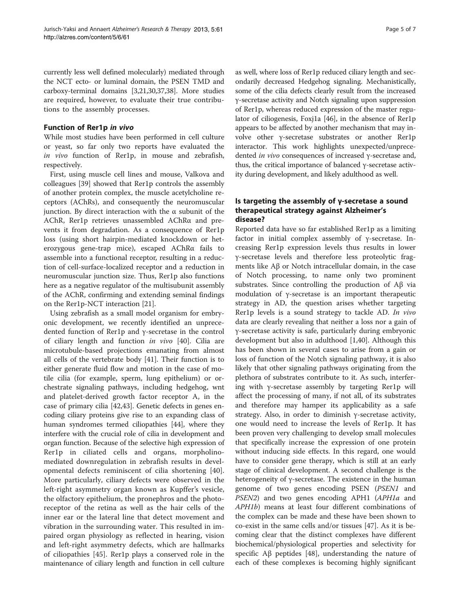currently less well defined molecularly) mediated through the NCT ecto- or luminal domain, the PSEN TMD and carboxy-terminal domains [\[3](#page-5-0)[,21,30,37,38\]](#page-6-0). More studies are required, however, to evaluate their true contributions to the assembly processes.

## Function of Rer1p in vivo

While most studies have been performed in cell culture or yeast, so far only two reports have evaluated the in vivo function of Rer1p, in mouse and zebrafish, respectively.

First, using muscle cell lines and mouse, Valkova and colleagues [[39](#page-6-0)] showed that Rer1p controls the assembly of another protein complex, the muscle acetylcholine receptors (AChRs), and consequently the neuromuscular junction. By direct interaction with the α subunit of the AChR, Rer1p retrieves unassembled AChRα and prevents it from degradation. As a consequence of Rer1p loss (using short hairpin-mediated knockdown or heterozygous gene-trap mice), escaped AChRα fails to assemble into a functional receptor, resulting in a reduction of cell-surface-localized receptor and a reduction in neuromuscular junction size. Thus, Rer1p also functions here as a negative regulator of the multisubunit assembly of the AChR, confirming and extending seminal findings on the Rer1p-NCT interaction [[21\]](#page-6-0).

Using zebrafish as a small model organism for embryonic development, we recently identified an unprecedented function of Rer1p and γ-secretase in the control of ciliary length and function in vivo [\[40](#page-6-0)]. Cilia are microtubule-based projections emanating from almost all cells of the vertebrate body [[41\]](#page-6-0). Their function is to either generate fluid flow and motion in the case of motile cilia (for example, sperm, lung epithelium) or orchestrate signaling pathways, including hedgehog, wnt and platelet-derived growth factor receptor A, in the case of primary cilia [[42](#page-6-0),[43](#page-6-0)]. Genetic defects in genes encoding ciliary proteins give rise to an expanding class of human syndromes termed ciliopathies [[44](#page-6-0)], where they interfere with the crucial role of cilia in development and organ function. Because of the selective high expression of Rer1p in ciliated cells and organs, morpholinomediated downregulation in zebrafish results in developmental defects reminiscent of cilia shortening [\[40](#page-6-0)]. More particularly, ciliary defects were observed in the left-right asymmetry organ known as Kupffer's vesicle, the olfactory epithelium, the pronephros and the photoreceptor of the retina as well as the hair cells of the inner ear or the lateral line that detect movement and vibration in the surrounding water. This resulted in impaired organ physiology as reflected in hearing, vision and left-right asymmetry defects, which are hallmarks of ciliopathies [[45\]](#page-6-0). Rer1p plays a conserved role in the maintenance of ciliary length and function in cell culture

as well, where loss of Rer1p reduced ciliary length and secondarily decreased Hedgehog signaling. Mechanistically, some of the cilia defects clearly result from the increased γ-secretase activity and Notch signaling upon suppression of Rer1p, whereas reduced expression of the master regulator of ciliogenesis, Foxj1a [\[46\]](#page-6-0), in the absence of Rer1p appears to be affected by another mechanism that may involve other γ-secretase substrates or another Rer1p interactor. This work highlights unexpected/unprecedented in vivo consequences of increased γ-secretase and, thus, the critical importance of balanced γ-secretase activity during development, and likely adulthood as well.

## Is targeting the assembly of γ-secretase a sound therapeutical strategy against Alzheimer's disease?

Reported data have so far established Rer1p as a limiting factor in initial complex assembly of γ-secretase. Increasing Rer1p expression levels thus results in lower γ-secretase levels and therefore less proteolytic fragments like Aβ or Notch intracellular domain, in the case of Notch processing, to name only two prominent substrates. Since controlling the production of Aβ via modulation of γ-secretase is an important therapeutic strategy in AD, the question arises whether targeting Rer1p levels is a sound strategy to tackle AD. In vivo data are clearly revealing that neither a loss nor a gain of γ-secretase activity is safe, particularly during embryonic development but also in adulthood [\[1](#page-5-0)[,40](#page-6-0)]. Although this has been shown in several cases to arise from a gain or loss of function of the Notch signaling pathway, it is also likely that other signaling pathways originating from the plethora of substrates contribute to it. As such, interfering with γ-secretase assembly by targeting Rer1p will affect the processing of many, if not all, of its substrates and therefore may hamper its applicability as a safe strategy. Also, in order to diminish γ-secretase activity, one would need to increase the levels of Rer1p. It has been proven very challenging to develop small molecules that specifically increase the expression of one protein without inducing side effects. In this regard, one would have to consider gene therapy, which is still at an early stage of clinical development. A second challenge is the heterogeneity of γ-secretase. The existence in the human genome of two genes encoding PSEN (PSEN1 and PSEN2) and two genes encoding APH1 (APH1a and APH1b) means at least four different combinations of the complex can be made and these have been shown to co-exist in the same cells and/or tissues [\[47\]](#page-6-0). As it is becoming clear that the distinct complexes have different biochemical/physiological properties and selectivity for specific Aβ peptides [\[48](#page-6-0)], understanding the nature of each of these complexes is becoming highly significant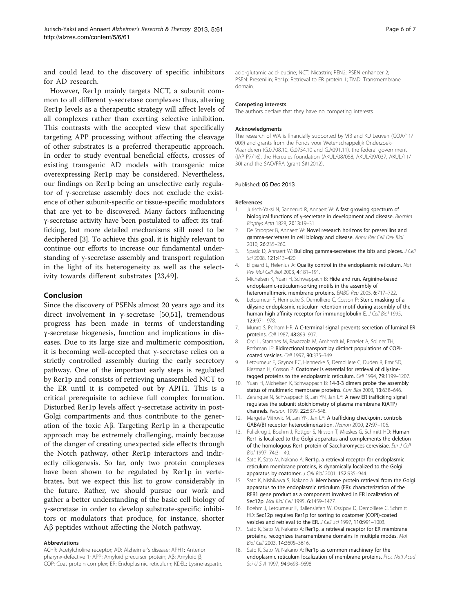<span id="page-5-0"></span>and could lead to the discovery of specific inhibitors for AD research.

However, Rer1p mainly targets NCT, a subunit common to all different γ-secretase complexes: thus, altering Rer1p levels as a therapeutic strategy will affect levels of all complexes rather than exerting selective inhibition. This contrasts with the accepted view that specifically targeting APP processing without affecting the cleavage of other substrates is a preferred therapeutic approach. In order to study eventual beneficial effects, crosses of existing transgenic AD models with transgenic mice overexpressing Rer1p may be considered. Nevertheless, our findings on Rer1p being an unselective early regulator of γ-secretase assembly does not exclude the existence of other subunit-specific or tissue-specific modulators that are yet to be discovered. Many factors influencing γ-secretase activity have been postulated to affect its trafficking, but more detailed mechanisms still need to be deciphered [3]. To achieve this goal, it is highly relevant to continue our efforts to increase our fundamental understanding of γ-secretase assembly and transport regulation in the light of its heterogeneity as well as the selectivity towards different substrates [\[23](#page-6-0),[49\]](#page-6-0).

## Conclusion

Since the discovery of PSENs almost 20 years ago and its direct involvement in γ-secretase [\[50,51\]](#page-6-0), tremendous progress has been made in terms of understanding γ-secretase biogenesis, function and implications in diseases. Due to its large size and multimeric composition, it is becoming well-accepted that γ-secretase relies on a strictly controlled assembly during the early secretory pathway. One of the important early steps is regulated by Rer1p and consists of retrieving unassembled NCT to the ER until it is competed out by APH1. This is a critical prerequisite to achieve full complex formation. Disturbed Rer1p levels affect γ-secretase activity in post-Golgi compartments and thus contribute to the generation of the toxic Aβ. Targeting Rer1p in a therapeutic approach may be extremely challenging, mainly because of the danger of creating unexpected side effects through the Notch pathway, other Rer1p interactors and indirectly ciliogenesis. So far, only two protein complexes have been shown to be regulated by Rer1p in vertebrates, but we expect this list to grow considerably in the future. Rather, we should pursue our work and gather a better understanding of the basic cell biology of γ-secretase in order to develop substrate-specific inhibitors or modulators that produce, for instance, shorter Aβ peptides without affecting the Notch pathway.

#### Abbreviations

AChR: Acetylcholine receptor; AD: Alzheimer's disease; APH1: Anterior pharynx-defective 1; APP: Amyloid precursor protein; Aβ: Amyloid β; COP: Coat protein complex; ER: Endoplasmic reticulum; KDEL: Lysine-aspartic

acid-glutamic acid-leucine; NCT: Nicastrin; PEN2: PSEN enhancer 2; PSEN: Presenilin; Rer1p: Retrieval to ER protein 1; TMD: Transmembrane domain.

#### Competing interests

The authors declare that they have no competing interests.

#### **Acknowledgments**

The research of WA is financially supported by VIB and KU Leuven (GOA/11/ 009) and grants from the Fonds voor Wetenschappelijk Onderzoek-Vlaanderen (G.0.708.10, G.0754.10 and G.A091.11), the federal government (IAP P7/16), the Hercules foundation (AKUL/08/058, AKUL/09/037, AKUL/11/ 30) and the SAO/FRA (grant S#12012).

### Published: 05 Dec 2013

#### References

- 1. Jurisch-Yaksi N, Sannerud R, Annaert W: A fast growing spectrum of biological functions of γ-secretase in development and disease. Biochim Biophys Acta 1828, 2013:19–31.
- 2. De Strooper B, Annaert W: Novel research horizons for presenilins and gamma-secretases in cell biology and disease. Annu Rev Cell Dev Biol 2010, 26:235–260.
- 3. Spasic D, Annaert W: Building gamma-secretase: the bits and pieces. J Cell Sci 2008, 121:413–420.
- 4. Ellgaard L, Helenius A: Quality control in the endoplasmic reticulum. Nat Rev Mol Cell Biol 2003, 4:181–191.
- 5. Michelsen K, Yuan H, Schwappach B: Hide and run. Arginine-based endoplasmic-reticulum-sorting motifs in the assembly of heteromultimeric membrane proteins. EMBO Rep 2005, 6:717–722.
- 6. Letourneur F, Hennecke S, Demolliere C, Cosson P: Steric masking of a dilysine endoplasmic reticulum retention motif during assembly of the human high affinity receptor for immunoglobulin E. J Cell Biol 1995, 129:971–978.
- 7. Munro S, Pelham HR: A C-terminal signal prevents secretion of luminal ER proteins. Cell 1987, 48:899–907.
- 8. Orci L, Stamnes M, Ravazzola M, Amherdt M, Perrelet A, Sollner TH, Rothman JE: Bidirectional transport by distinct populations of COPIcoated vesicles. Cell 1997, 90:335–349.
- 9. Letourneur F, Gaynor EC, Hennecke S, Demolliere C, Duden R, Emr SD, Riezman H, Cosson P: Coatomer is essential for retrieval of dilysinetagged proteins to the endoplasmic reticulum. Cell 1994, 79:1199-1207.
- 10. Yuan H, Michelsen K, Schwappach B: 14-3-3 dimers probe the assembly status of multimeric membrane proteins. Curr Biol 2003, 13:638–646.
- 11. Zerangue N, Schwappach B, Jan YN, Jan LY: A new ER trafficking signal regulates the subunit stoichiometry of plasma membrane K(ATP) channels. Neuron 1999, 22:537–548.
- 12. Margeta-Mitrovic M, Jan YN, Jan LY: A trafficking checkpoint controls GABA(B) receptor heterodimerization. Neuron 2000, 27:97–106.
- 13. Fullekrug J, Boehm J, Rottger S, Nilsson T, Mieskes G, Schmitt HD: Human Rer1 is localized to the Golgi apparatus and complements the deletion of the homologous Rer1 protein of Saccharomyces cerevisiae. Eur J Cell Biol 1997, 74:31–40.
- 14. Sato K, Sato M, Nakano A: Rer1p, a retrieval receptor for endoplasmic reticulum membrane proteins, is dynamically localized to the Golgi apparatus by coatomer. J Cell Biol 2001, 152:935-944.
- 15. Sato K, Nishikawa S, Nakano A: Membrane protein retrieval from the Golgi apparatus to the endoplasmic reticulum (ER): characterization of the RER1 gene product as a component involved in ER localization of Sec12p. Mol Biol Cell 1995, 6:1459–1477.
- 16. Boehm J, Letourneur F, Ballensiefen W, Ossipov D, Demolliere C, Schmitt HD: Sec12p requires Rer1p for sorting to coatomer (COPI)-coated vesicles and retrieval to the ER. J Cell Sci 1997, 110:991-1003.
- 17. Sato K, Sato M, Nakano A: Rer1p, a retrieval receptor for ER membrane proteins, recognizes transmembrane domains in multiple modes. Mol Biol Cell 2003, 14:3605–3616.
- 18. Sato K, Sato M, Nakano A: Rer1p as common machinery for the endoplasmic reticulum localization of membrane proteins. Proc Natl Acad Sci U S A 1997, 94:9693–9698.